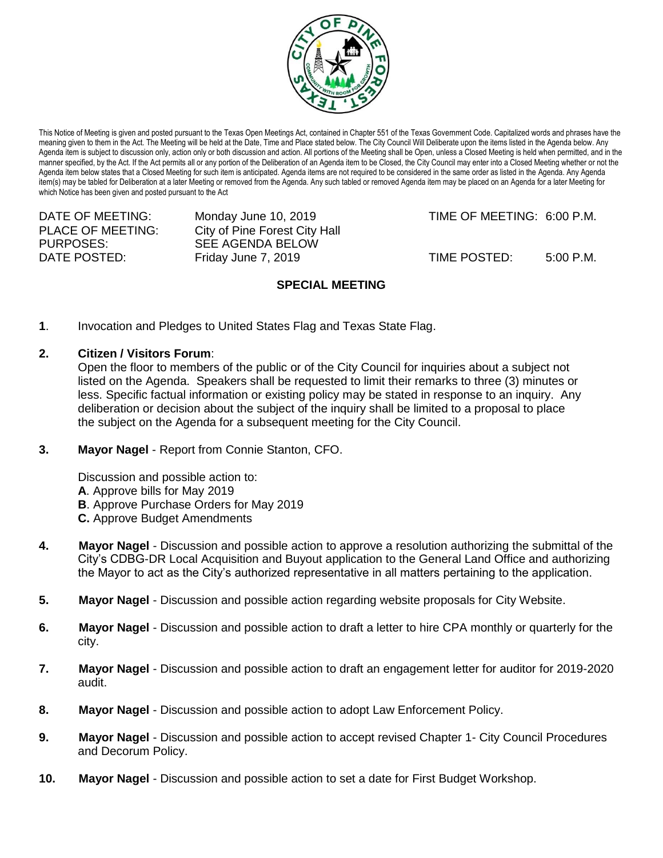

This Notice of Meeting is given and posted pursuant to the Texas Open Meetings Act, contained in Chapter 551 of the Texas Government Code. Capitalized words and phrases have the meaning given to them in the Act. The Meeting will be held at the Date, Time and Place stated below. The City Council Will Deliberate upon the items listed in the Agenda below. Any Agenda item is subject to discussion only, action only or both discussion and action. All portions of the Meeting shall be Open, unless a Closed Meeting is held when permitted, and in the manner specified, by the Act. If the Act permits all or any portion of the Deliberation of an Agenda item to be Closed, the City Council may enter into a Closed Meeting whether or not the Agenda item below states that a Closed Meeting for such item is anticipated. Agenda items are not required to be considered in the same order as listed in the Agenda. Any Agenda item(s) may be tabled for Deliberation at a later Meeting or removed from the Agenda. Any such tabled or removed Agenda item may be placed on an Agenda for a later Meeting for which Notice has been given and posted pursuant to the Act

PURPOSES: SEE AGENDA BELOW

PLACE OF MEETING: City of Pine Forest City Hall

DATE OF MEETING: Monday June 10, 2019 TIME OF MEETING: 6:00 P.M.

DATE POSTED: Friday June 7, 2019 TIME POSTED: 5:00 P.M.

## **SPECIAL MEETING**

- **1**. Invocation and Pledges to United States Flag and Texas State Flag.
- **2. Citizen / Visitors Forum**:

Open the floor to members of the public or of the City Council for inquiries about a subject not listed on the Agenda. Speakers shall be requested to limit their remarks to three (3) minutes or less. Specific factual information or existing policy may be stated in response to an inquiry. Any deliberation or decision about the subject of the inquiry shall be limited to a proposal to place the subject on the Agenda for a subsequent meeting for the City Council.

**3. Mayor Nagel** - Report from Connie Stanton, CFO.

Discussion and possible action to: **A**. Approve bills for May 2019 **B**. Approve Purchase Orders for May 2019 **C.** Approve Budget Amendments

- **4. Mayor Nagel**  Discussion and possible action to approve a resolution authorizing the submittal of the City's CDBG-DR Local Acquisition and Buyout application to the General Land Office and authorizing the Mayor to act as the City's authorized representative in all matters pertaining to the application.
- **5. Mayor Nagel**  Discussion and possible action regarding website proposals for City Website.
- **6. Mayor Nagel**  Discussion and possible action to draft a letter to hire CPA monthly or quarterly for the city.
- **7. Mayor Nagel**  Discussion and possible action to draft an engagement letter for auditor for 2019-2020 audit.
- **8. Mayor Nagel** Discussion and possible action to adopt Law Enforcement Policy.
- **9. Mayor Nagel** Discussion and possible action to accept revised Chapter 1- City Council Procedures and Decorum Policy.
- **10. Mayor Nagel** Discussion and possible action to set a date for First Budget Workshop.